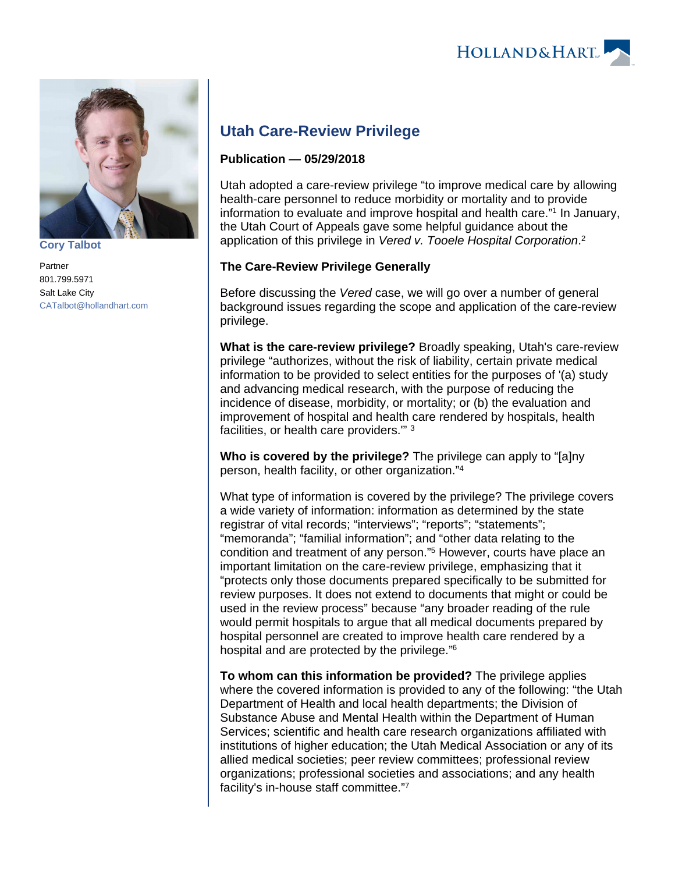



**[Cory Talbot](https://www.hollandhart.com/15504)**

Partner 801.799.5971 Salt Lake City [CATalbot@hollandhart.com](mailto:CATalbot@hollandhart.com)

# **Utah Care-Review Privilege**

#### **Publication — 05/29/2018**

Utah adopted a care-review privilege "to improve medical care by allowing health-care personnel to reduce morbidity or mortality and to provide information to evaluate and improve hospital and health care."<sup>1</sup> In January, the Utah Court of Appeals gave some helpful guidance about the application of this privilege in Vered v. Tooele Hospital Corporation.<sup>2</sup>

## **The Care-Review Privilege Generally**

Before discussing the Vered case, we will go over a number of general background issues regarding the scope and application of the care-review privilege.

**What is the care-review privilege?** Broadly speaking, Utah's care-review privilege "authorizes, without the risk of liability, certain private medical information to be provided to select entities for the purposes of '(a) study and advancing medical research, with the purpose of reducing the incidence of disease, morbidity, or mortality; or (b) the evaluation and improvement of hospital and health care rendered by hospitals, health facilities, or health care providers.'" <sup>3</sup>

**Who is covered by the privilege?** The privilege can apply to "[a]ny person, health facility, or other organization."<sup>4</sup>

What type of information is covered by the privilege? The privilege covers a wide variety of information: information as determined by the state registrar of vital records; "interviews"; "reports"; "statements"; "memoranda"; "familial information"; and "other data relating to the condition and treatment of any person."<sup>5</sup> However, courts have place an important limitation on the care-review privilege, emphasizing that it "protects only those documents prepared specifically to be submitted for review purposes. It does not extend to documents that might or could be used in the review process" because "any broader reading of the rule would permit hospitals to argue that all medical documents prepared by hospital personnel are created to improve health care rendered by a hospital and are protected by the privilege."<sup>6</sup>

**To whom can this information be provided?** The privilege applies where the covered information is provided to any of the following: "the Utah Department of Health and local health departments; the Division of Substance Abuse and Mental Health within the Department of Human Services; scientific and health care research organizations affiliated with institutions of higher education; the Utah Medical Association or any of its allied medical societies; peer review committees; professional review organizations; professional societies and associations; and any health facility's in-house staff committee."7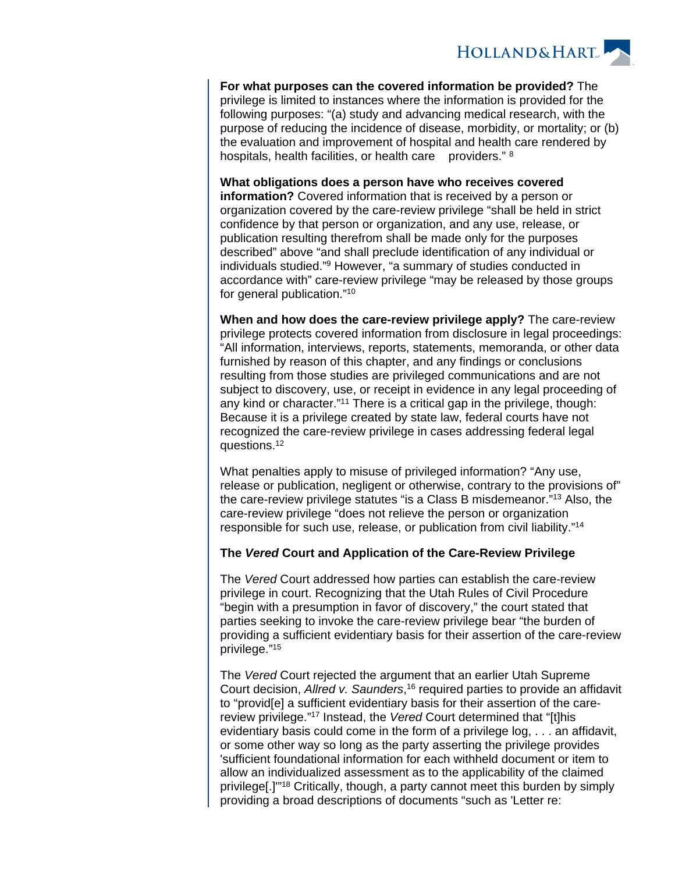

**For what purposes can the covered information be provided?** The privilege is limited to instances where the information is provided for the following purposes: "(a) study and advancing medical research, with the purpose of reducing the incidence of disease, morbidity, or mortality; or (b) the evaluation and improvement of hospital and health care rendered by hospitals, health facilities, or health care providers." 8

**What obligations does a person have who receives covered information?** Covered information that is received by a person or organization covered by the care-review privilege "shall be held in strict confidence by that person or organization, and any use, release, or publication resulting therefrom shall be made only for the purposes described" above "and shall preclude identification of any individual or individuals studied."<sup>9</sup> However, "a summary of studies conducted in accordance with" care-review privilege "may be released by those groups for general publication."<sup>10</sup>

**When and how does the care-review privilege apply?** The care-review privilege protects covered information from disclosure in legal proceedings: "All information, interviews, reports, statements, memoranda, or other data furnished by reason of this chapter, and any findings or conclusions resulting from those studies are privileged communications and are not subject to discovery, use, or receipt in evidence in any legal proceeding of any kind or character."<sup>11</sup> There is a critical gap in the privilege, though: Because it is a privilege created by state law, federal courts have not recognized the care-review privilege in cases addressing federal legal questions.<sup>12</sup>

What penalties apply to misuse of privileged information? "Any use, release or publication, negligent or otherwise, contrary to the provisions of" the care-review privilege statutes "is a Class B misdemeanor."<sup>13</sup> Also, the care-review privilege "does not relieve the person or organization responsible for such use, release, or publication from civil liability."<sup>14</sup>

#### **The Vered Court and Application of the Care-Review Privilege**

The Vered Court addressed how parties can establish the care-review privilege in court. Recognizing that the Utah Rules of Civil Procedure "begin with a presumption in favor of discovery," the court stated that parties seeking to invoke the care-review privilege bear "the burden of providing a sufficient evidentiary basis for their assertion of the care-review privilege."<sup>15</sup>

The Vered Court rejected the argument that an earlier Utah Supreme Court decision, Allred v. Saunders,<sup>16</sup> required parties to provide an affidavit to "provid[e] a sufficient evidentiary basis for their assertion of the carereview privilege."<sup>17</sup> Instead, the Vered Court determined that "[t]his evidentiary basis could come in the form of a privilege log, . . . an affidavit, or some other way so long as the party asserting the privilege provides 'sufficient foundational information for each withheld document or item to allow an individualized assessment as to the applicability of the claimed privilege[.]'"<sup>18</sup> Critically, though, a party cannot meet this burden by simply providing a broad descriptions of documents "such as 'Letter re: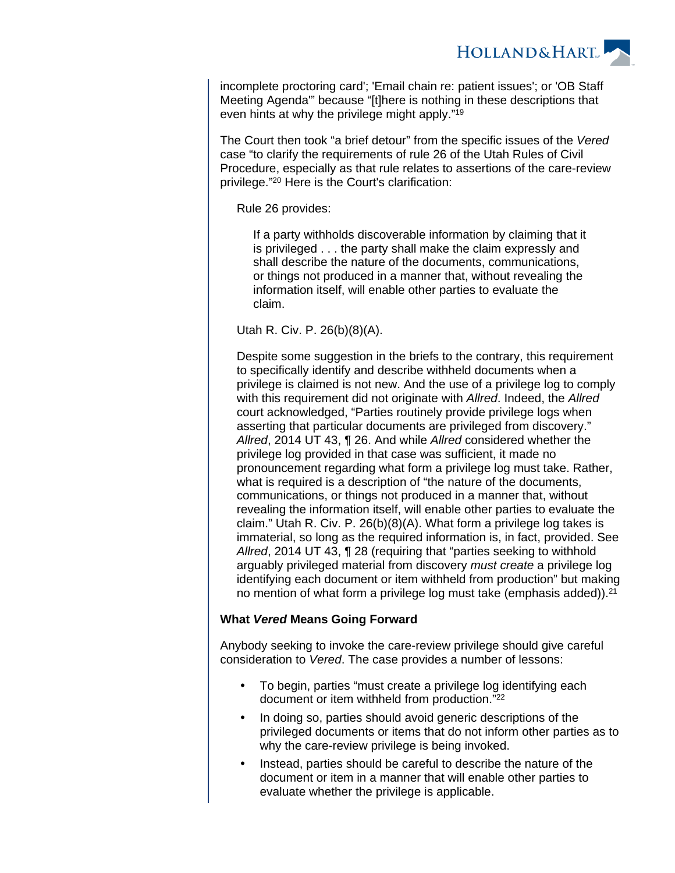

incomplete proctoring card'; 'Email chain re: patient issues'; or 'OB Staff Meeting Agenda'" because "[t]here is nothing in these descriptions that even hints at why the privilege might apply."<sup>19</sup>

The Court then took "a brief detour" from the specific issues of the Vered case "to clarify the requirements of rule 26 of the Utah Rules of Civil Procedure, especially as that rule relates to assertions of the care-review privilege."<sup>20</sup> Here is the Court's clarification:

Rule 26 provides:

If a party withholds discoverable information by claiming that it is privileged . . . the party shall make the claim expressly and shall describe the nature of the documents, communications, or things not produced in a manner that, without revealing the information itself, will enable other parties to evaluate the claim.

Utah R. Civ. P. 26(b)(8)(A).

Despite some suggestion in the briefs to the contrary, this requirement to specifically identify and describe withheld documents when a privilege is claimed is not new. And the use of a privilege log to comply with this requirement did not originate with Allred. Indeed, the Allred court acknowledged, "Parties routinely provide privilege logs when asserting that particular documents are privileged from discovery." Allred, 2014 UT 43, ¶ 26. And while Allred considered whether the privilege log provided in that case was sufficient, it made no pronouncement regarding what form a privilege log must take. Rather, what is required is a description of "the nature of the documents, communications, or things not produced in a manner that, without revealing the information itself, will enable other parties to evaluate the claim." Utah R. Civ. P. 26(b)(8)(A). What form a privilege log takes is immaterial, so long as the required information is, in fact, provided. See Allred, 2014 UT 43, ¶ 28 (requiring that "parties seeking to withhold arguably privileged material from discovery must create a privilege log identifying each document or item withheld from production" but making no mention of what form a privilege log must take (emphasis added)).<sup>21</sup>

## **What Vered Means Going Forward**

Anybody seeking to invoke the care-review privilege should give careful consideration to Vered. The case provides a number of lessons:

- To begin, parties "must create a privilege log identifying each document or item withheld from production."<sup>22</sup>
- In doing so, parties should avoid generic descriptions of the privileged documents or items that do not inform other parties as to why the care-review privilege is being invoked.
- Instead, parties should be careful to describe the nature of the document or item in a manner that will enable other parties to evaluate whether the privilege is applicable.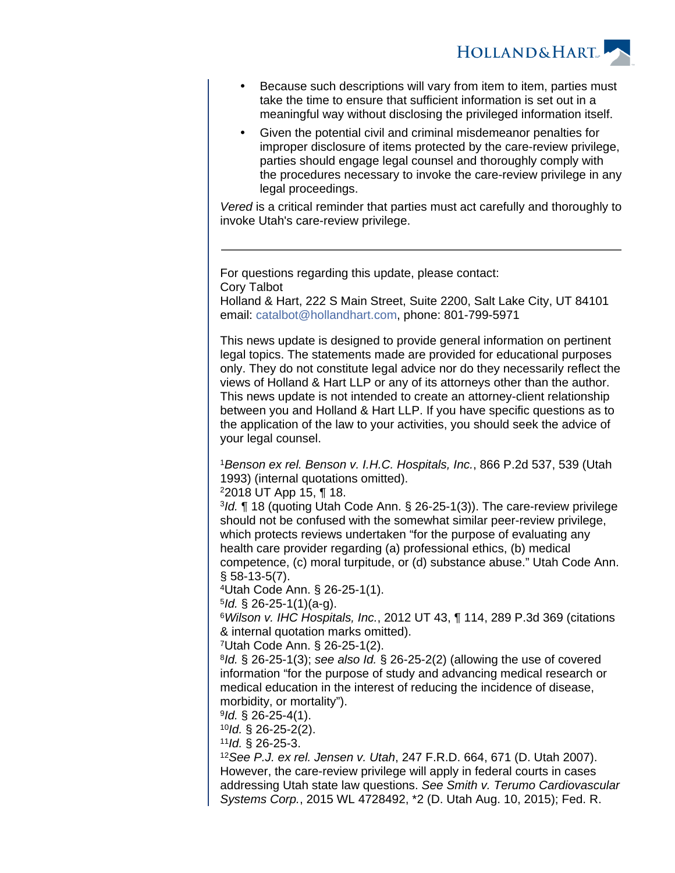**HOLLAND&HART** 

- Because such descriptions will vary from item to item, parties must take the time to ensure that sufficient information is set out in a meaningful way without disclosing the privileged information itself.
- Given the potential civil and criminal misdemeanor penalties for improper disclosure of items protected by the care-review privilege, parties should engage legal counsel and thoroughly comply with the procedures necessary to invoke the care-review privilege in any legal proceedings.

Vered is a critical reminder that parties must act carefully and thoroughly to invoke Utah's care-review privilege.

For questions regarding this update, please contact: Cory Talbot

Holland & Hart, 222 S Main Street, Suite 2200, Salt Lake City, UT 84101 email: [catalbot@hollandhart.com](mailto:catalbot@hollandhart.com), phone: 801-799-5971

This news update is designed to provide general information on pertinent legal topics. The statements made are provided for educational purposes only. They do not constitute legal advice nor do they necessarily reflect the views of Holland & Hart LLP or any of its attorneys other than the author. This news update is not intended to create an attorney-client relationship between you and Holland & Hart LLP. If you have specific questions as to the application of the law to your activities, you should seek the advice of your legal counsel.

<sup>1</sup>Benson ex rel. Benson v. I.H.C. Hospitals, Inc., 866 P.2d 537, 539 (Utah 1993) (internal quotations omitted).

<sup>2</sup>2018 UT App 15, ¶ 18.

<sup>3</sup>Id. ¶ 18 (quoting Utah Code Ann. § 26-25-1(3)). The care-review privilege should not be confused with the somewhat similar peer-review privilege, which protects reviews undertaken "for the purpose of evaluating any health care provider regarding (a) professional ethics, (b) medical competence, (c) moral turpitude, or (d) substance abuse." Utah Code Ann. § 58-13-5(7).

<sup>4</sup>Utah Code Ann. § 26-25-1(1).

 $5$ ld. § 26-25-1(1)(a-g).

 $6$ Wilson v. IHC Hospitals, Inc., 2012 UT 43,  $\P$  114, 289 P.3d 369 (citations & internal quotation marks omitted).

<sup>7</sup>Utah Code Ann. § 26-25-1(2).

 $8$ Id. § 26-25-1(3); see also Id. § 26-25-2(2) (allowing the use of covered information "for the purpose of study and advancing medical research or medical education in the interest of reducing the incidence of disease, morbidity, or mortality").

 $9$ ld. § 26-25-4(1).

 $10$ Id. § 26-25-2(2).

 $11$ Id. § 26-25-3.

<sup>12</sup>See P.J. ex rel. Jensen v. Utah, 247 F.R.D. 664, 671 (D. Utah 2007). However, the care-review privilege will apply in federal courts in cases addressing Utah state law questions. See Smith v. Terumo Cardiovascular Systems Corp., 2015 WL 4728492, \*2 (D. Utah Aug. 10, 2015); Fed. R.